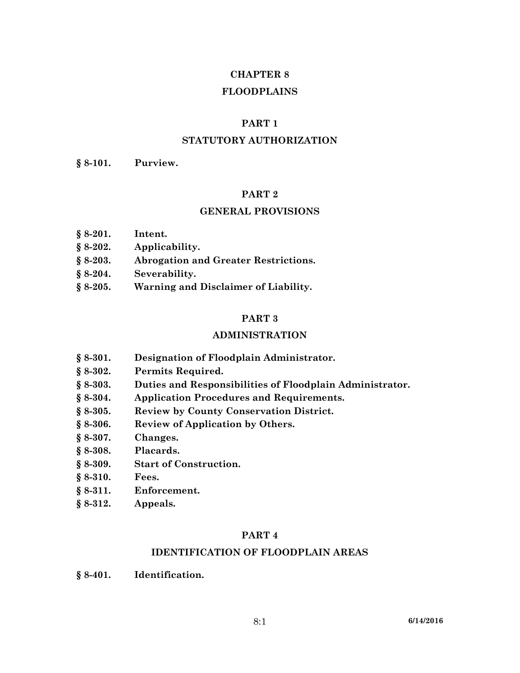# **CHAPTER 8 FLOODPLAINS**

### **PART 1**

## **STATUTORY AUTHORIZATION**

**§ 8-101. Purview.**

#### **PART 2**

#### **GENERAL PROVISIONS**

- **§ 8-202. Applicability.**
- **§ 8-203. Abrogation and Greater Restrictions.**
- **§ 8-204. Severability.**
- **§ 8-205. Warning and Disclaimer of Liability.**

#### **PART 3**

#### **ADMINISTRATION**

- **§ 8-301. Designation of Floodplain Administrator.**
- **§ 8-302. Permits Required.**
- **§ 8-303. Duties and Responsibilities of Floodplain Administrator.**
- **§ 8-304. Application Procedures and Requirements.**
- **§ 8-305. Review by County Conservation District.**
- **§ 8-306. Review of Application by Others.**
- **§ 8-307. Changes.**
- **§ 8-308. Placards.**
- **§ 8-309. Start of Construction.**
- **§ 8-310. Fees.**
- **§ 8-311. Enforcement.**
- **§ 8-312. Appeals.**

#### **PART 4**

## **IDENTIFICATION OF FLOODPLAIN AREAS**

**§ 8-401. Identification.**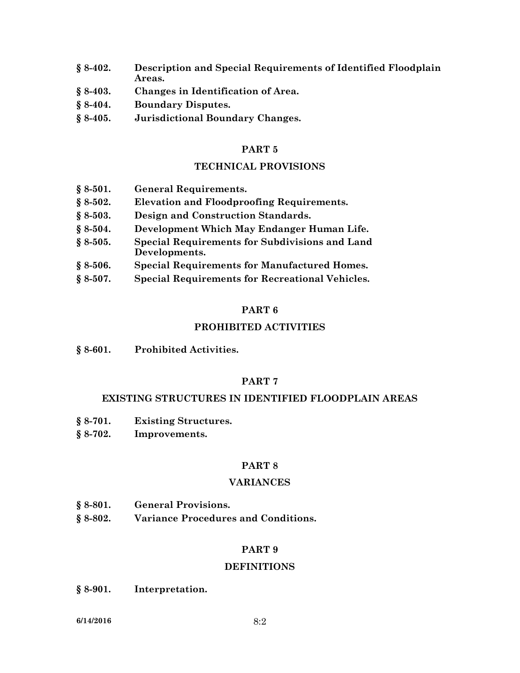- **§ 8-402. Description and Special Requirements of Identified Floodplain Areas.**
- **§ 8-403. Changes in Identification of Area.**
- **§ 8-404. Boundary Disputes.**
- **§ 8-405. Jurisdictional Boundary Changes.**

## **TECHNICAL PROVISIONS**

| $§ 8-501.$ | <b>General Requirements.</b>                                                                                                                                    |
|------------|-----------------------------------------------------------------------------------------------------------------------------------------------------------------|
| $§ 8-502.$ | <b>Elevation and Floodproofing Requirements.</b>                                                                                                                |
| $§ 8-503.$ | Design and Construction Standards.                                                                                                                              |
| $§ 8-504.$ | Development Which May Endanger Human Life.                                                                                                                      |
| $$8-505.$  | <b>Special Requirements for Subdivisions and Land</b><br>Developments.                                                                                          |
| $$8-506.$  | <b>Special Requirements for Manufactured Homes.</b>                                                                                                             |
| S O ENT    | $\mathcal{C}_{\text{meas}}$ l $\mathcal{D}_{\text{meas}}$ increase to $\mathcal{C}_{\text{em}}$ $\mathcal{D}_{\text{emas}}$ is a lead $\mathcal{U}_{\text{em}}$ |

**§ 8-507. Special Requirements for Recreational Vehicles.**

### **PART 6**

## **PROHIBITED ACTIVITIES**

**§ 8-601. Prohibited Activities.**

# **PART 7**

#### **EXISTING STRUCTURES IN IDENTIFIED FLOODPLAIN AREAS**

- **§ 8-701. Existing Structures.**
- **§ 8-702. Improvements.**

## **PART 8**

#### **VARIANCES**

- **§ 8-801. General Provisions.**
- **§ 8-802. Variance Procedures and Conditions.**

## **PART 9**

## **DEFINITIONS**

**§ 8-901. Interpretation.**

**6/14/2016** 8:2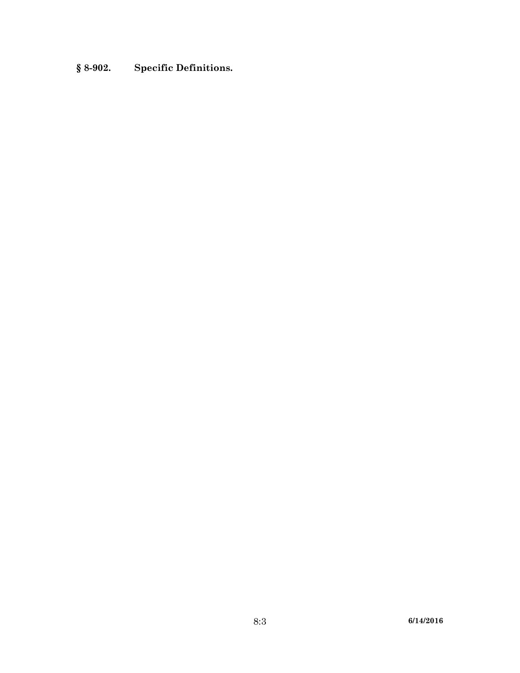# **§ 8-902. Specific Definitions.**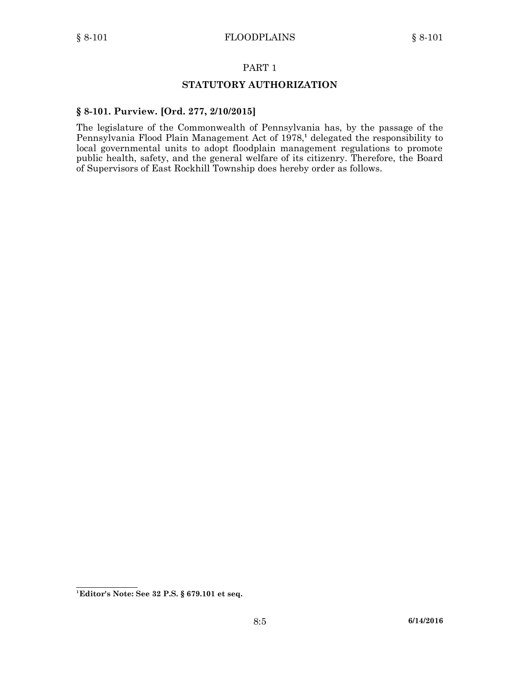## **STATUTORY AUTHORIZATION**

#### **§ 8-101. Purview. [Ord. 277, 2/10/2015]**

The legislature of the Commonwealth of Pennsylvania has, by the passage of the Pennsylvania Flood Plain Management Act of 1978, **1** delegated the responsibility to local governmental units to adopt floodplain management regulations to promote public health, safety, and the general welfare of its citizenry. Therefore, the Board of Supervisors of East Rockhill Township does hereby order as follows.

**<sup>1</sup> Editor's Note: See 32 P.S. § 679.101 et seq.**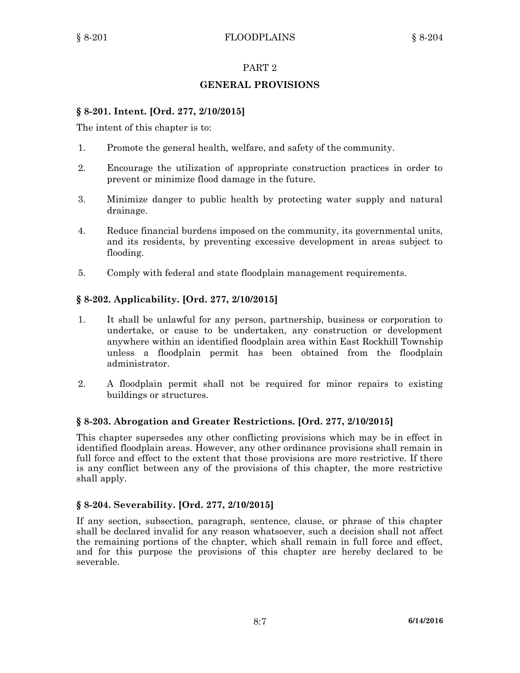# **GENERAL PROVISIONS**

## **§ 8-201. Intent. [Ord. 277, 2/10/2015]**

The intent of this chapter is to:

- 1. Promote the general health, welfare, and safety of the community.
- 2. Encourage the utilization of appropriate construction practices in order to prevent or minimize flood damage in the future.
- 3. Minimize danger to public health by protecting water supply and natural drainage.
- 4. Reduce financial burdens imposed on the community, its governmental units, and its residents, by preventing excessive development in areas subject to flooding.
- 5. Comply with federal and state floodplain management requirements.

# **§ 8-202. Applicability. [Ord. 277, 2/10/2015]**

- 1. It shall be unlawful for any person, partnership, business or corporation to undertake, or cause to be undertaken, any construction or development anywhere within an identified floodplain area within East Rockhill Township unless <sup>a</sup> floodplain permit has been obtained from the floodplain administrator.
- 2. A floodplain permit shall not be required for minor repairs to existing buildings or structures.

## **§ 8-203. Abrogation and Greater Restrictions. [Ord. 277, 2/10/2015]**

This chapter supersedes any other conflicting provisions which may be in effect in identified floodplain areas. However, any other ordinance provisions shall remain in full force and effect to the extent that those provisions are more restrictive. If there is any conflict between any of the provisions of this chapter, the more restrictive shall apply.

## **§ 8-204. Severability. [Ord. 277, 2/10/2015]**

If any section, subsection, paragraph, sentence, clause, or phrase of this chapter shall be declared invalid for any reason whatsoever, such <sup>a</sup> decision shall not affect the remaining portions of the chapter, which shall remain in full force and effect, and for this purpose the provisions of this chapter are hereby declared to be severable.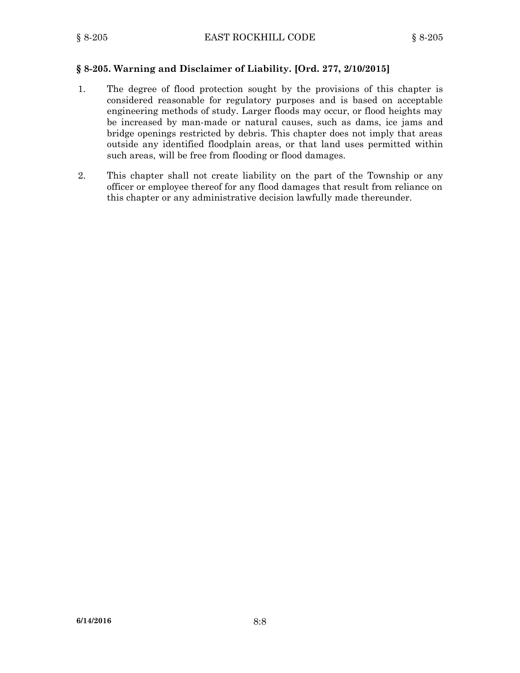## **§ 8-205. Warning and Disclaimer of Liability. [Ord. 277, 2/10/2015]**

- 1. The degree of flood protection sought by the provisions of this chapter is considered reasonable for regulatory purposes and is based on acceptable engineering methods of study. Larger floods may occur, or flood heights may be increased by man-made or natural causes, such as dams, ice jams and bridge openings restricted by debris. This chapter does not imply that areas outside any identified floodplain areas, or that land uses permitted within such areas, will be free from flooding or flood damages.
- 2. This chapter shall not create liability on the part of the Township or any officer or employee thereof for any flood damages that result from reliance on this chapter or any administrative decision lawfully made thereunder.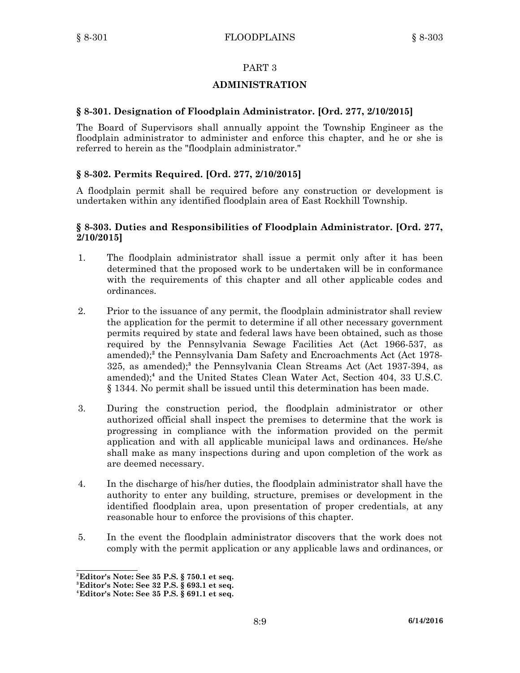# **ADMINISTRATION**

## **§ 8-301. Designation of Floodplain Administrator. [Ord. 277, 2/10/2015]**

The Board of Supervisors shall annually appoint the Township Engineer as the floodplain administrator to administer and enforce this chapter, and he or she is referred to herein as the "floodplain administrator."

## **§ 8-302. Permits Required. [Ord. 277, 2/10/2015]**

A floodplain permit shall be required before any construction or development is undertaken within any identified floodplain area of East Rockhill Township.

#### **§ 8-303. Duties and Responsibilities of Floodplain Administrator. [Ord. 277, 2/10/2015]**

- 1. The floodplain administrator shall issue <sup>a</sup> permit only after it has been determined that the proposed work to be undertaken will be in conformance with the requirements of this chapter and all other applicable codes and ordinances.
- 2. Prior to the issuance of any permit, the floodplain administrator shall review the application for the permit to determine if all other necessary government permits required by state and federal laws have been obtained, such as those required by the Pennsylvania Sewage Facilities Act (Act 1966-537, as amended); **2** the Pennsylvania Dam Safety and Encroachments Act (Act 1978- 325, as amended); **3** the Pennsylvania Clean Streams Act (Act 1937-394, as amended);<sup>4</sup> and the United States Clean Water Act, Section 404, 33 U.S.C. § 1344. No permit shall be issued until this determination has been made.
- 3. During the construction period, the floodplain administrator or other authorized official shall inspect the premises to determine that the work is progressing in compliance with the information provided on the permit application and with all applicable municipal laws and ordinances. He/she shall make as many inspections during and upon completion of the work as are deemed necessary.
- 4. In the discharge of his/her duties, the floodplain administrator shall have the authority to enter any building, structure, premises or development in the identified floodplain area, upon presentation of proper credentials, at any reasonable hour to enforce the provisions of this chapter.
- 5. In the event the floodplain administrator discovers that the work does not comply with the permit application or any applicable laws and ordinances, or

**<sup>2</sup>Editor's Note: See 35 P.S. § 750.1 et seq.**

**<sup>3</sup> Editor's Note: See 32 P.S. § 693.1 et seq.**

**<sup>4</sup> Editor's Note: See 35 P.S. § 691.1 et seq.**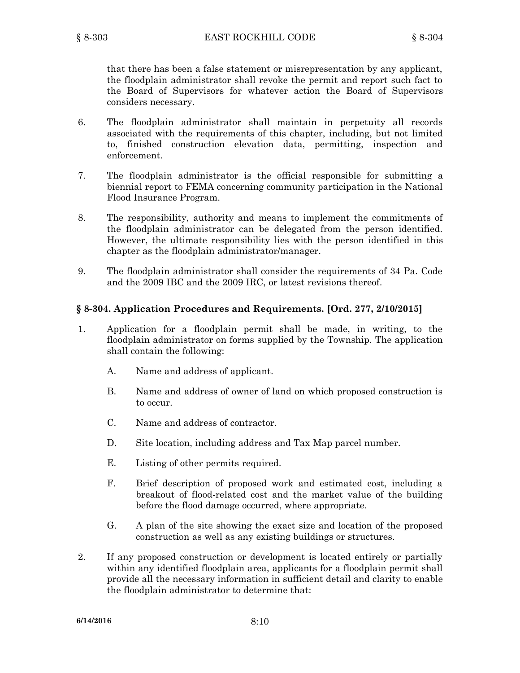that there has been <sup>a</sup> false statement or misrepresentation by any applicant, the floodplain administrator shall revoke the permit and report such fact to the Board of Supervisors for whatever action the Board of Supervisors considers necessary.

- 6. The floodplain administrator shall maintain in perpetuity all records associated with the requirements of this chapter, including, but not limited to, finished construction elevation data, permitting, inspection and enforcement.
- 7. The floodplain administrator is the official responsible for submitting <sup>a</sup> biennial report to FEMA concerning community participation in the National Flood Insurance Program.
- 8. The responsibility, authority and means to implement the commitments of the floodplain administrator can be delegated from the person identified. However, the ultimate responsibility lies with the person identified in this chapter as the floodplain administrator/manager.
- 9. The floodplain administrator shall consider the requirements of 34 Pa. Code and the 2009 IBC and the 2009 IRC, or latest revisions thereof.

### **§ 8-304. Application Procedures and Requirements. [Ord. 277, 2/10/2015]**

- 1. Application for <sup>a</sup> floodplain permit shall be made, in writing, to the floodplain administrator on forms supplied by the Township. The application shall contain the following:
	- A. Name and address of applicant.
	- B. Name and address of owner of land on which proposed construction is to occur.
	- C. Name and address of contractor.
	- D. Site location, including address and Tax Map parcel number.
	- E. Listing of other permits required.
	- F. Brief description of proposed work and estimated cost, including <sup>a</sup> breakout of flood-related cost and the market value of the building before the flood damage occurred, where appropriate.
	- G. A plan of the site showing the exact size and location of the proposed construction as well as any existing buildings or structures.
- 2. If any proposed construction or development is located entirely or partially within any identified floodplain area, applicants for <sup>a</sup> floodplain permit shall provide all the necessary information in sufficient detail and clarity to enable the floodplain administrator to determine that: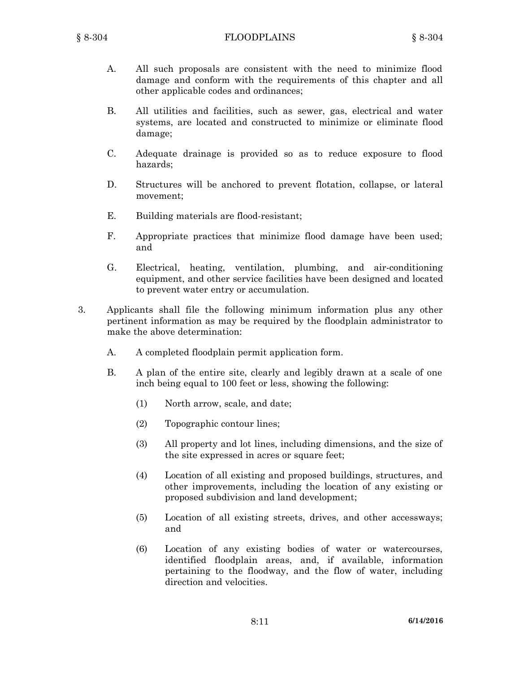- A. All such proposals are consistent with the need to minimize flood damage and conform with the requirements of this chapter and all other applicable codes and ordinances;
- B. All utilities and facilities, such as sewer, gas, electrical and water systems, are located and constructed to minimize or eliminate flood damage;
- C. Adequate drainage is provided so as to reduce exposure to flood hazards;
- D. Structures will be anchored to prevent flotation, collapse, or lateral movement;
- E. Building materials are flood-resistant;
- F. Appropriate practices that minimize flood damage have been used; and
- G. Electrical, heating, ventilation, plumbing, and air-conditioning equipment, and other service facilities have been designed and located to prevent water entry or accumulation.
- 3. Applicants shall file the following minimum information plus any other pertinent information as may be required by the floodplain administrator to make the above determination:
	- A. A completed floodplain permit application form.
	- B. A plan of the entire site, clearly and legibly drawn at <sup>a</sup> scale of one inch being equal to 100 feet or less, showing the following:
		- (1) North arrow, scale, and date;
		- (2) Topographic contour lines;
		- (3) All property and lot lines, including dimensions, and the size of the site expressed in acres or square feet;
		- (4) Location of all existing and proposed buildings, structures, and other improvements, including the location of any existing or proposed subdivision and land development;
		- (5) Location of all existing streets, drives, and other accessways; and
		- (6) Location of any existing bodies of water or watercourses, identified floodplain areas, and, if available, information pertaining to the floodway, and the flow of water, including direction and velocities.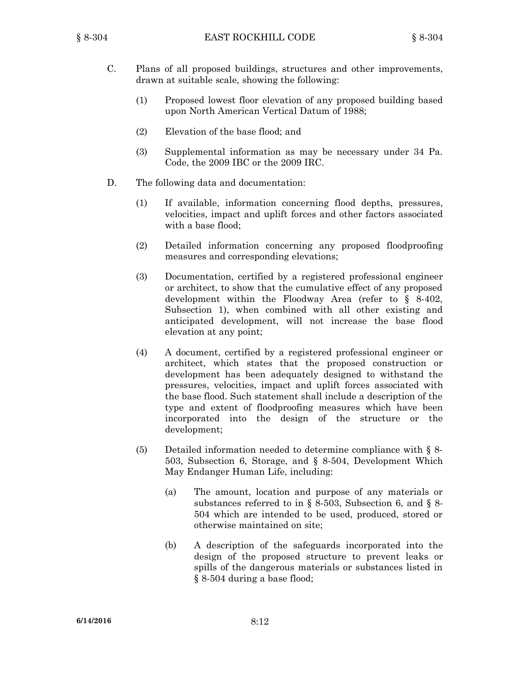- C. Plans of all proposed buildings, structures and other improvements, drawn at suitable scale, showing the following:
	- (1) Proposed lowest floor elevation of any proposed building based upon North American Vertical Datum of 1988;
	- (2) Elevation of the base flood; and
	- (3) Supplemental information as may be necessary under 34 Pa. Code, the 2009 IBC or the 2009 IRC.
- D. The following data and documentation:
	- (1) If available, information concerning flood depths, pressures, velocities, impact and uplift forces and other factors associated with <sup>a</sup> base flood;
	- (2) Detailed information concerning any proposed floodproofing measures and corresponding elevations;
	- (3) Documentation, certified by <sup>a</sup> registered professional engineer or architect, to show that the cumulative effect of any proposed development within the Floodway Area (refer to § 8-402, Subsection 1), when combined with all other existing and anticipated development, will not increase the base flood elevation at any point;
	- (4) A document, certified by <sup>a</sup> registered professional engineer or architect, which states that the proposed construction or development has been adequately designed to withstand the pressures, velocities, impact and uplift forces associated with the base flood. Such statement shall include <sup>a</sup> description of the type and extent of floodproofing measures which have been incorporated into the design of the structure or the development;
	- (5) Detailed information needed to determine compliance with § 8- 503, Subsection 6, Storage, and § 8-504, Development Which May Endanger Human Life, including:
		- (a) The amount, location and purpose of any materials or substances referred to in § 8-503, Subsection 6, and § 8- 504 which are intended to be used, produced, stored or otherwise maintained on site;
		- (b) A description of the safeguards incorporated into the design of the proposed structure to prevent leaks or spills of the dangerous materials or substances listed in § 8-504 during <sup>a</sup> base flood;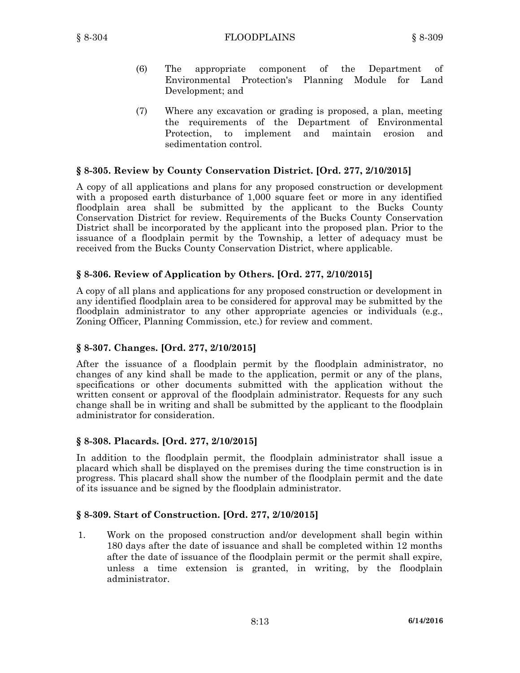- (6) The appropriate component of the Department of Environmental Protection's Planning Module for Land Development; and
- (7) Where any excavation or grading is proposed, <sup>a</sup> plan, meeting the requirements of the Department of Environmental Protection, to implement and maintain erosion and sedimentation control.

## **§ 8-305. Review by County Conservation District. [Ord. 277, 2/10/2015]**

A copy of all applications and plans for any proposed construction or development with <sup>a</sup> proposed earth disturbance of 1,000 square feet or more in any identified floodplain area shall be submitted by the applicant to the Bucks County Conservation District for review. Requirements of the Bucks County Conservation District shall be incorporated by the applicant into the proposed plan. Prior to the issuance of <sup>a</sup> floodplain permit by the Township, <sup>a</sup> letter of adequacy must be received from the Bucks County Conservation District, where applicable.

## **§ 8-306. Review of Application by Others. [Ord. 277, 2/10/2015]**

A copy of all plans and applications for any proposed construction or development in any identified floodplain area to be considered for approval may be submitted by the floodplain administrator to any other appropriate agencies or individuals (e.g., Zoning Officer, Planning Commission, etc.) for review and comment.

## **§ 8-307. Changes. [Ord. 277, 2/10/2015]**

After the issuance of <sup>a</sup> floodplain permit by the floodplain administrator, no changes of any kind shall be made to the application, permit or any of the plans, specifications or other documents submitted with the application without the written consent or approval of the floodplain administrator. Requests for any such change shall be in writing and shall be submitted by the applicant to the floodplain administrator for consideration.

## **§ 8-308. Placards. [Ord. 277, 2/10/2015]**

In addition to the floodplain permit, the floodplain administrator shall issue <sup>a</sup> placard which shall be displayed on the premises during the time construction is in progress. This placard shall show the number of the floodplain permit and the date of its issuance and be signed by the floodplain administrator.

## **§ 8-309. Start of Construction. [Ord. 277, 2/10/2015]**

1. Work on the proposed construction and/or development shall begin within 180 days after the date of issuance and shall be completed within 12 months after the date of issuance of the floodplain permit or the permit shall expire, unless <sup>a</sup> time extension is granted, in writing, by the floodplain administrator.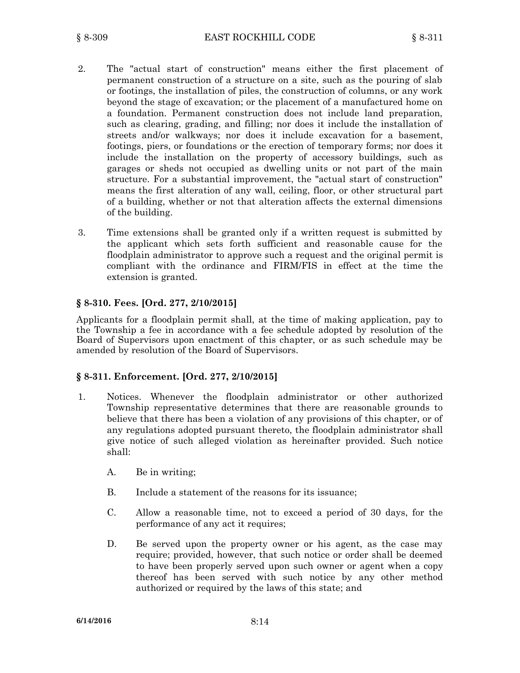- 2. The "actual start of construction" means either the first placement of permanent construction of <sup>a</sup> structure on <sup>a</sup> site, such as the pouring of slab or footings, the installation of piles, the construction of columns, or any work beyond the stage of excavation; or the placement of <sup>a</sup> manufactured home on <sup>a</sup> foundation. Permanent construction does not include land preparation, such as clearing, grading, and filling; nor does it include the installation of streets and/or walkways; nor does it include excavation for <sup>a</sup> basement, footings, piers, or foundations or the erection of temporary forms; nor does it include the installation on the property of accessory buildings, such as garages or sheds not occupied as dwelling units or not part of the main structure. For <sup>a</sup> substantial improvement, the "actual start of construction" means the first alteration of any wall, ceiling, floor, or other structural part of <sup>a</sup> building, whether or not that alteration affects the external dimensions of the building.
- 3. Time extensions shall be granted only if <sup>a</sup> written request is submitted by the applicant which sets forth sufficient and reasonable cause for the floodplain administrator to approve such <sup>a</sup> request and the original permit is compliant with the ordinance and FIRM/FIS in effect at the time the extension is granted.

### **§ 8-310. Fees. [Ord. 277, 2/10/2015]**

Applicants for <sup>a</sup> floodplain permit shall, at the time of making application, pay to the Township <sup>a</sup> fee in accordance with <sup>a</sup> fee schedule adopted by resolution of the Board of Supervisors upon enactment of this chapter, or as such schedule may be amended by resolution of the Board of Supervisors.

#### **§ 8-311. Enforcement. [Ord. 277, 2/10/2015]**

- 1. Notices. Whenever the floodplain administrator or other authorized Township representative determines that there are reasonable grounds to believe that there has been <sup>a</sup> violation of any provisions of this chapter, or of any regulations adopted pursuant thereto, the floodplain administrator shall give notice of such alleged violation as hereinafter provided. Such notice shall:
	- A. Be in writing;
	- B. Include <sup>a</sup> statement of the reasons for its issuance;
	- C. Allow <sup>a</sup> reasonable time, not to exceed <sup>a</sup> period of 30 days, for the performance of any act it requires;
	- D. Be served upon the property owner or his agent, as the case may require; provided, however, that such notice or order shall be deemed to have been properly served upon such owner or agent when <sup>a</sup> copy thereof has been served with such notice by any other method authorized or required by the laws of this state; and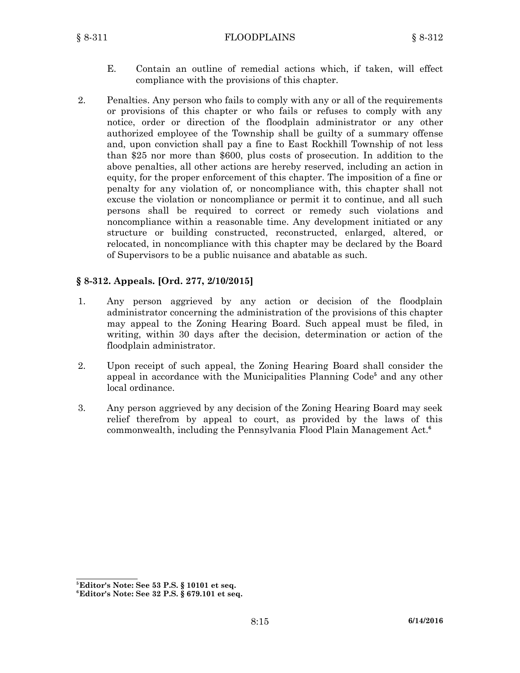- E. Contain an outline of remedial actions which, if taken, will effect compliance with the provisions of this chapter.
- 2. Penalties. Any person who fails to comply with any or all of the requirements or provisions of this chapter or who fails or refuses to comply with any notice, order or direction of the floodplain administrator or any other authorized employee of the Township shall be guilty of <sup>a</sup> summary offense and, upon conviction shall pay <sup>a</sup> fine to East Rockhill Township of not less than \$25 nor more than \$600, plus costs of prosecution. In addition to the above penalties, all other actions are hereby reserved, including an action in equity, for the proper enforcement of this chapter. The imposition of <sup>a</sup> fine or penalty for any violation of, or noncompliance with, this chapter shall not excuse the violation or noncompliance or permit it to continue, and all such persons shall be required to correct or remedy such violations and noncompliance within <sup>a</sup> reasonable time. Any development initiated or any structure or building constructed, reconstructed, enlarged, altered, or relocated, in noncompliance with this chapter may be declared by the Board of Supervisors to be <sup>a</sup> public nuisance and abatable as such.

# **§ 8-312. Appeals. [Ord. 277, 2/10/2015]**

- 1. Any person aggrieved by any action or decision of the floodplain administrator concerning the administration of the provisions of this chapter may appeal to the Zoning Hearing Board. Such appeal must be filed, in writing, within 30 days after the decision, determination or action of the floodplain administrator.
- 2. Upon receipt of such appeal, the Zoning Hearing Board shall consider the appeal in accordance with the Municipalities Planning Code **5** and any other local ordinance.
- 3. Any person aggrieved by any decision of the Zoning Hearing Board may seek relief therefrom by appeal to court, as provided by the laws of this commonwealth, including the Pennsylvania Flood Plain Management Act. **6**

**<sup>5</sup> Editor's Note: See 53 P.S. § 10101 et seq.**

**<sup>6</sup> Editor's Note: See 32 P.S. § 679.101 et seq.**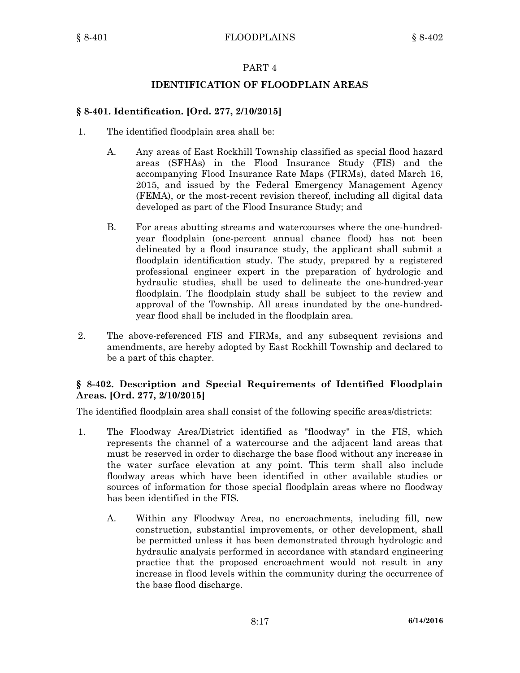## **IDENTIFICATION OF FLOODPLAIN AREAS**

## **§ 8-401. Identification. [Ord. 277, 2/10/2015]**

- 1. The identified floodplain area shall be:
	- A. Any areas of East Rockhill Township classified as special flood hazard areas (SFHAs) in the Flood Insurance Study (FIS) and the accompanying Flood Insurance Rate Maps (FIRMs), dated March 16, 2015, and issued by the Federal Emergency Management Agency (FEMA), or the most-recent revision thereof, including all digital data developed as part of the Flood Insurance Study; and
	- B. For areas abutting streams and watercourses where the one-hundredyear floodplain (one-percent annual chance flood) has not been delineated by <sup>a</sup> flood insurance study, the applicant shall submit <sup>a</sup> floodplain identification study. The study, prepared by <sup>a</sup> registered professional engineer expert in the preparation of hydrologic and hydraulic studies, shall be used to delineate the one-hundred-year floodplain. The floodplain study shall be subject to the review and approval of the Township. All areas inundated by the one-hundredyear flood shall be included in the floodplain area.
- 2. The above-referenced FIS and FIRMs, and any subsequent revisions and amendments, are hereby adopted by East Rockhill Township and declared to be <sup>a</sup> part of this chapter.

# **§ 8-402. Description and Special Requirements of Identified Floodplain Areas. [Ord. 277, 2/10/2015]**

The identified floodplain area shall consist of the following specific areas/districts:

- 1. The Floodway Area/District identified as "floodway" in the FIS, which represents the channel of <sup>a</sup> watercourse and the adjacent land areas that must be reserved in order to discharge the base flood without any increase in the water surface elevation at any point. This term shall also include floodway areas which have been identified in other available studies or sources of information for those special floodplain areas where no floodway has been identified in the FIS.
	- A. Within any Floodway Area, no encroachments, including fill, new construction, substantial improvements, or other development, shall be permitted unless it has been demonstrated through hydrologic and hydraulic analysis performed in accordance with standard engineering practice that the proposed encroachment would not result in any increase in flood levels within the community during the occurrence of the base flood discharge.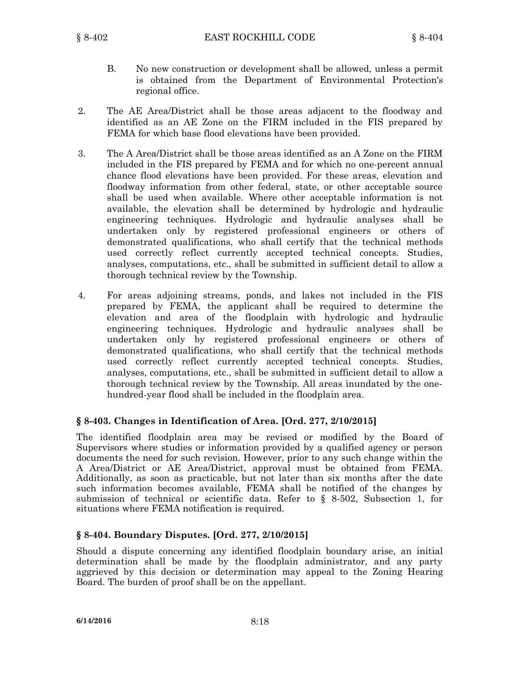- B. No new construction or development shall be allowed, unless <sup>a</sup> permit is obtained from the Department of Environmental Protection's regional office.
- 2. The AE Area/District shall be those areas adjacent to the floodway and identified as an AE Zone on the FIRM included in the FIS prepared by FEMA for which base flood elevations have been provided.
- 3. The A Area/District shall be those areas identified as an A Zone on the FIRM included in the FIS prepared by FEMA and for which no one-percent annual chance flood elevations have been provided. For these areas, elevation and floodway information from other federal, state, or other acceptable source shall be used when available. Where other acceptable information is not available, the elevation shall be determined by hydrologic and hydraulic engineering techniques. Hydrologic and hydraulic analyses shall be undertaken only by registered professional engineers or others of demonstrated qualifications, who shall certify that the technical methods used correctly reflect currently accepted technical concepts. Studies, analyses, computations, etc., shall be submitted in sufficient detail to allow <sup>a</sup> thorough technical review by the Township.
- 4. For areas adjoining streams, ponds, and lakes not included in the FIS prepared by FEMA, the applicant shall be required to determine the elevation and area of the floodplain with hydrologic and hydraulic engineering techniques. Hydrologic and hydraulic analyses shall be undertaken only by registered professional engineers or others of demonstrated qualifications, who shall certify that the technical methods used correctly reflect currently accepted technical concepts. Studies, analyses, computations, etc., shall be submitted in sufficient detail to allow <sup>a</sup> thorough technical review by the Township. All areas inundated by the onehundred-year flood shall be included in the floodplain area.

## **§ 8-403. Changes in Identification of Area. [Ord. 277, 2/10/2015]**

The identified floodplain area may be revised or modified by the Board of Supervisors where studies or information provided by <sup>a</sup> qualified agency or person documents the need for such revision. However, prior to any such change within the A Area/District or AE Area/District, approval must be obtained from FEMA. Additionally, as soon as practicable, but not later than six months after the date such information becomes available, FEMA shall be notified of the changes by submission of technical or scientific data. Refer to § 8-502, Subsection 1, for situations where FEMA notification is required.

#### **§ 8-404. Boundary Disputes. [Ord. 277, 2/10/2015]**

Should <sup>a</sup> dispute concerning any identified floodplain boundary arise, an initial determination shall be made by the floodplain administrator, and any party aggrieved by this decision or determination may appeal to the Zoning Hearing Board. The burden of proof shall be on the appellant.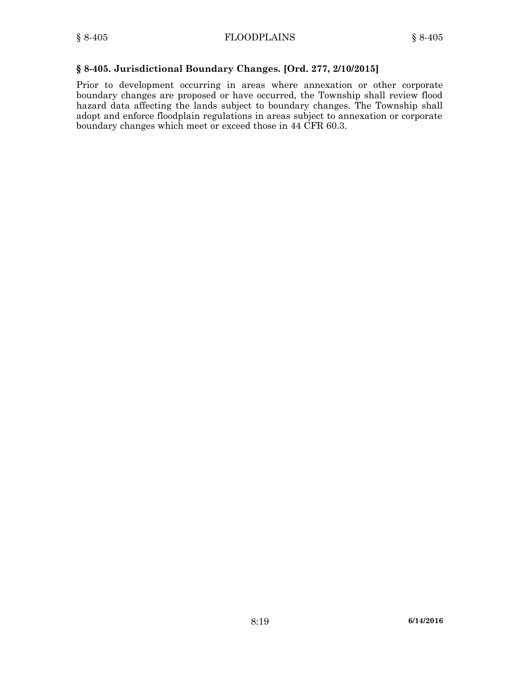## **§ 8-405. Jurisdictional Boundary Changes. [Ord. 277, 2/10/2015]**

Prior to development occurring in areas where annexation or other corporate boundary changes are proposed or have occurred, the Township shall review flood hazard data affecting the lands subject to boundary changes. The Township shall adopt and enforce floodplain regulations in areas subject to annexation or corporate boundary changes which meet or exceed those in 44 CFR 60.3.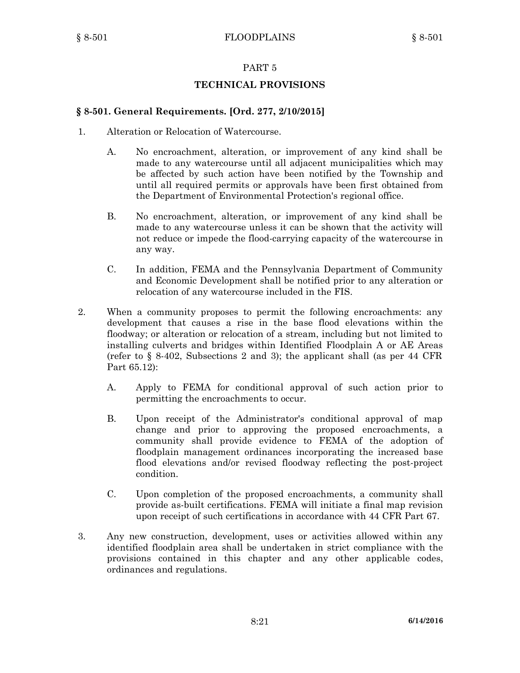## **TECHNICAL PROVISIONS**

#### **§ 8-501. General Requirements. [Ord. 277, 2/10/2015]**

- 1. Alteration or Relocation of Watercourse.
	- A. No encroachment, alteration, or improvement of any kind shall be made to any watercourse until all adjacent municipalities which may be affected by such action have been notified by the Township and until all required permits or approvals have been first obtained from the Department of Environmental Protection's regional office.
	- B. No encroachment, alteration, or improvement of any kind shall be made to any watercourse unless it can be shown that the activity will not reduce or impede the flood-carrying capacity of the watercourse in any way.
	- C. In addition, FEMA and the Pennsylvania Department of Community and Economic Development shall be notified prior to any alteration or relocation of any watercourse included in the FIS.
- 2. When <sup>a</sup> community proposes to permit the following encroachments: any development that causes <sup>a</sup> rise in the base flood elevations within the floodway; or alteration or relocation of <sup>a</sup> stream, including but not limited to installing culverts and bridges within Identified Floodplain A or AE Areas (refer to § 8-402, Subsections 2 and 3); the applicant shall (as per 44 CFR Part 65.12):
	- A. Apply to FEMA for conditional approval of such action prior to permitting the encroachments to occur.
	- B. Upon receipt of the Administrator's conditional approval of map change and prior to approving the proposed encroachments, <sup>a</sup> community shall provide evidence to FEMA of the adoption of floodplain management ordinances incorporating the increased base flood elevations and/or revised floodway reflecting the post-project condition.
	- C. Upon completion of the proposed encroachments, <sup>a</sup> community shall provide as-built certifications. FEMA will initiate <sup>a</sup> final map revision upon receipt of such certifications in accordance with 44 CFR Part 67.
- 3. Any new construction, development, uses or activities allowed within any identified floodplain area shall be undertaken in strict compliance with the provisions contained in this chapter and any other applicable codes, ordinances and regulations.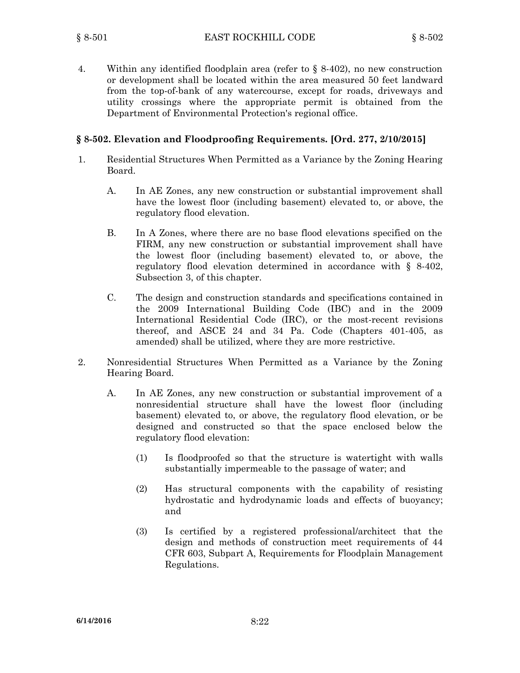4. Within any identified floodplain area (refer to § 8-402), no new construction or development shall be located within the area measured 50 feet landward from the top-of-bank of any watercourse, except for roads, driveways and utility crossings where the appropriate permit is obtained from the Department of Environmental Protection's regional office.

## **§ 8-502. Elevation and Floodproofing Requirements. [Ord. 277, 2/10/2015]**

- 1. Residential Structures When Permitted as <sup>a</sup> Variance by the Zoning Hearing Board.
	- A. In AE Zones, any new construction or substantial improvement shall have the lowest floor (including basement) elevated to, or above, the regulatory flood elevation.
	- B. In A Zones, where there are no base flood elevations specified on the FIRM, any new construction or substantial improvement shall have the lowest floor (including basement) elevated to, or above, the regulatory flood elevation determined in accordance with § 8-402, Subsection 3, of this chapter.
	- C. The design and construction standards and specifications contained in the 2009 International Building Code (IBC) and in the 2009 International Residential Code (IRC), or the most-recent revisions thereof, and ASCE 24 and 34 Pa. Code (Chapters 401-405, as amended) shall be utilized, where they are more restrictive.
- 2. Nonresidential Structures When Permitted as <sup>a</sup> Variance by the Zoning Hearing Board.
	- A. In AE Zones, any new construction or substantial improvement of <sup>a</sup> nonresidential structure shall have the lowest floor (including basement) elevated to, or above, the regulatory flood elevation, or be designed and constructed so that the space enclosed below the regulatory flood elevation:
		- (1) Is floodproofed so that the structure is watertight with walls substantially impermeable to the passage of water; and
		- (2) Has structural components with the capability of resisting hydrostatic and hydrodynamic loads and effects of buoyancy; and
		- (3) Is certified by <sup>a</sup> registered professional/architect that the design and methods of construction meet requirements of 44 CFR 603, Subpart A, Requirements for Floodplain Management Regulations.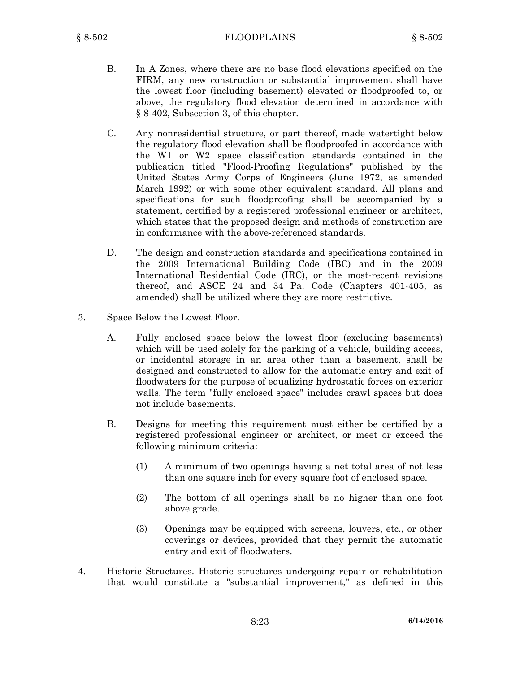- B. In A Zones, where there are no base flood elevations specified on the FIRM, any new construction or substantial improvement shall have the lowest floor (including basement) elevated or floodproofed to, or above, the regulatory flood elevation determined in accordance with § 8-402, Subsection 3, of this chapter.
- C. Any nonresidential structure, or part thereof, made watertight below the regulatory flood elevation shall be floodproofed in accordance with the W1 or W2 space classification standards contained in the publication titled "Flood-Proofing Regulations" published by the United States Army Corps of Engineers (June 1972, as amended March 1992) or with some other equivalent standard. All plans and specifications for such floodproofing shall be accompanied by <sup>a</sup> statement, certified by <sup>a</sup> registered professional engineer or architect, which states that the proposed design and methods of construction are in conformance with the above-referenced standards.
- D. The design and construction standards and specifications contained in the 2009 International Building Code (IBC) and in the 2009 International Residential Code (IRC), or the most-recent revisions thereof, and ASCE 24 and 34 Pa. Code (Chapters 401-405, as amended) shall be utilized where they are more restrictive.
- 3. Space Below the Lowest Floor.
	- A. Fully enclosed space below the lowest floor (excluding basements) which will be used solely for the parking of a vehicle, building access, or incidental storage in an area other than <sup>a</sup> basement, shall be designed and constructed to allow for the automatic entry and exit of floodwaters for the purpose of equalizing hydrostatic forces on exterior walls. The term "fully enclosed space" includes crawl spaces but does not include basements.
	- B. Designs for meeting this requirement must either be certified by <sup>a</sup> registered professional engineer or architect, or meet or exceed the following minimum criteria:
		- (1) A minimum of two openings having <sup>a</sup> net total area of not less than one square inch for every square foot of enclosed space.
		- (2) The bottom of all openings shall be no higher than one foot above grade.
		- (3) Openings may be equipped with screens, louvers, etc., or other coverings or devices, provided that they permit the automatic entry and exit of floodwaters.
- 4. Historic Structures. Historic structures undergoing repair or rehabilitation that would constitute <sup>a</sup> "substantial improvement," as defined in this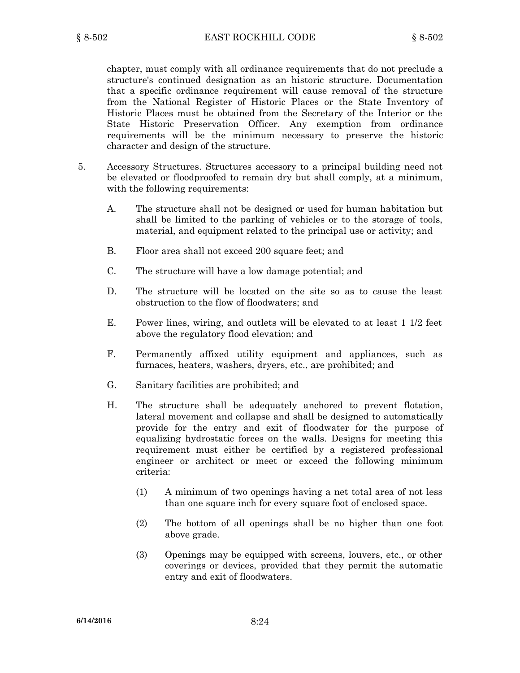chapter, must comply with all ordinance requirements that do not preclude <sup>a</sup> structure's continued designation as an historic structure. Documentation that <sup>a</sup> specific ordinance requirement will cause removal of the structure from the National Register of Historic Places or the State Inventory of Historic Places must be obtained from the Secretary of the Interior or the State Historic Preservation Officer. Any exemption from ordinance requirements will be the minimum necessary to preserve the historic character and design of the structure.

- 5. Accessory Structures. Structures accessory to <sup>a</sup> principal building need not be elevated or floodproofed to remain dry but shall comply, at <sup>a</sup> minimum, with the following requirements:
	- A. The structure shall not be designed or used for human habitation but shall be limited to the parking of vehicles or to the storage of tools, material, and equipment related to the principal use or activity; and
	- B. Floor area shall not exceed 200 square feet; and
	- C. The structure will have <sup>a</sup> low damage potential; and
	- D. The structure will be located on the site so as to cause the least obstruction to the flow of floodwaters; and
	- E. Power lines, wiring, and outlets will be elevated to at least 1 1/2 feet above the regulatory flood elevation; and
	- F. Permanently affixed utility equipment and appliances, such as furnaces, heaters, washers, dryers, etc., are prohibited; and
	- G. Sanitary facilities are prohibited; and
	- H. The structure shall be adequately anchored to prevent flotation, lateral movement and collapse and shall be designed to automatically provide for the entry and exit of floodwater for the purpose of equalizing hydrostatic forces on the walls. Designs for meeting this requirement must either be certified by <sup>a</sup> registered professional engineer or architect or meet or exceed the following minimum criteria:
		- (1) A minimum of two openings having <sup>a</sup> net total area of not less than one square inch for every square foot of enclosed space.
		- (2) The bottom of all openings shall be no higher than one foot above grade.
		- (3) Openings may be equipped with screens, louvers, etc., or other coverings or devices, provided that they permit the automatic entry and exit of floodwaters.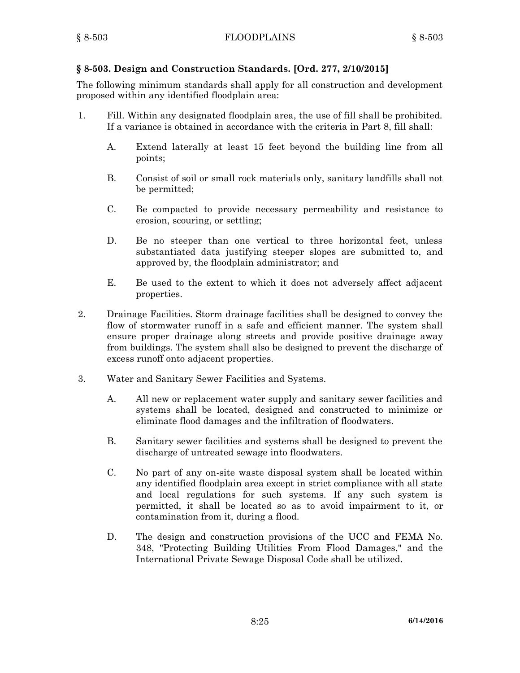# **§ 8-503. Design and Construction Standards. [Ord. 277, 2/10/2015]**

The following minimum standards shall apply for all construction and development proposed within any identified floodplain area:

- 1. Fill. Within any designated floodplain area, the use of fill shall be prohibited. If <sup>a</sup> variance is obtained in accordance with the criteria in Part 8, fill shall:
	- A. Extend laterally at least 15 feet beyond the building line from all points;
	- B. Consist of soil or small rock materials only, sanitary landfills shall not be permitted;
	- C. Be compacted to provide necessary permeability and resistance to erosion, scouring, or settling;
	- D. Be no steeper than one vertical to three horizontal feet, unless substantiated data justifying steeper slopes are submitted to, and approved by, the floodplain administrator; and
	- E. Be used to the extent to which it does not adversely affect adjacent properties.
- 2. Drainage Facilities. Storm drainage facilities shall be designed to convey the flow of stormwater runoff in <sup>a</sup> safe and efficient manner. The system shall ensure proper drainage along streets and provide positive drainage away from buildings. The system shall also be designed to prevent the discharge of excess runoff onto adjacent properties.
- 3. Water and Sanitary Sewer Facilities and Systems.
	- A. All new or replacement water supply and sanitary sewer facilities and systems shall be located, designed and constructed to minimize or eliminate flood damages and the infiltration of floodwaters.
	- B. Sanitary sewer facilities and systems shall be designed to prevent the discharge of untreated sewage into floodwaters.
	- C. No part of any on-site waste disposal system shall be located within any identified floodplain area except in strict compliance with all state and local regulations for such systems. If any such system is permitted, it shall be located so as to avoid impairment to it, or contamination from it, during <sup>a</sup> flood.
	- D. The design and construction provisions of the UCC and FEMA No. 348, "Protecting Building Utilities From Flood Damages," and the International Private Sewage Disposal Code shall be utilized.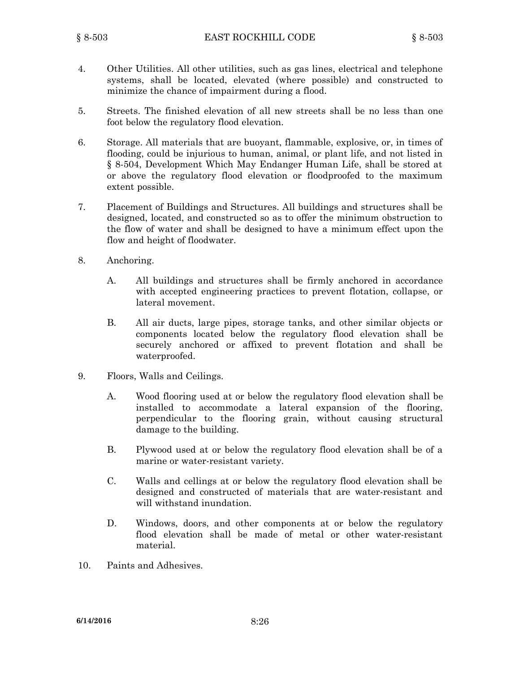- 4. Other Utilities. All other utilities, such as gas lines, electrical and telephone systems, shall be located, elevated (where possible) and constructed to minimize the chance of impairment during <sup>a</sup> flood.
- 5. Streets. The finished elevation of all new streets shall be no less than one foot below the regulatory flood elevation.
- 6. Storage. All materials that are buoyant, flammable, explosive, or, in times of flooding, could be injurious to human, animal, or plant life, and not listed in § 8-504, Development Which May Endanger Human Life, shall be stored at or above the regulatory flood elevation or floodproofed to the maximum extent possible.
- 7. Placement of Buildings and Structures. All buildings and structures shall be designed, located, and constructed so as to offer the minimum obstruction to the flow of water and shall be designed to have <sup>a</sup> minimum effect upon the flow and height of floodwater.
- 8. Anchoring.
	- A. All buildings and structures shall be firmly anchored in accordance with accepted engineering practices to prevent flotation, collapse, or lateral movement.
	- B. All air ducts, large pipes, storage tanks, and other similar objects or components located below the regulatory flood elevation shall be securely anchored or affixed to prevent flotation and shall be waterproofed.
- 9. Floors, Walls and Ceilings.
	- A. Wood flooring used at or below the regulatory flood elevation shall be installed to accommodate <sup>a</sup> lateral expansion of the flooring, perpendicular to the flooring grain, without causing structural damage to the building.
	- B. Plywood used at or below the regulatory flood elevation shall be of <sup>a</sup> marine or water-resistant variety.
	- C. Walls and cellings at or below the regulatory flood elevation shall be designed and constructed of materials that are water-resistant and will withstand inundation.
	- D. Windows, doors, and other components at or below the regulatory flood elevation shall be made of metal or other water-resistant material.
- 10. Paints and Adhesives.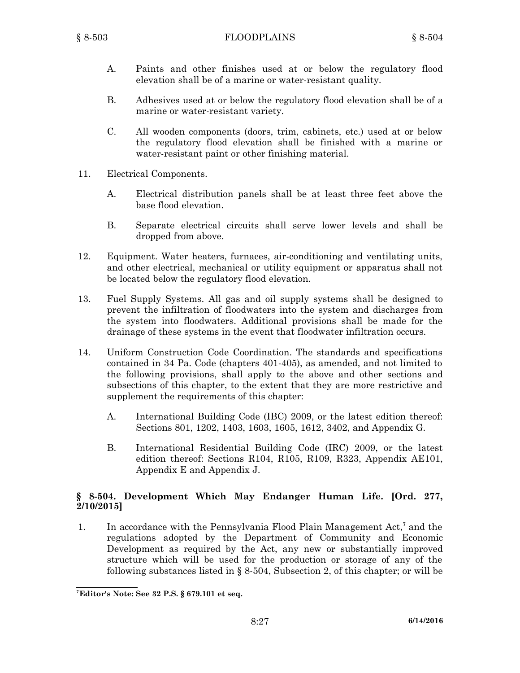- A. Paints and other finishes used at or below the regulatory flood elevation shall be of a marine or water-resistant quality.
- B. Adhesives used at or below the regulatory flood elevation shall be of <sup>a</sup> marine or water-resistant variety.
- C. All wooden components (doors, trim, cabinets, etc.) used at or below the regulatory flood elevation shall be finished with <sup>a</sup> marine or water-resistant paint or other finishing material.
- 11. Electrical Components.
	- A. Electrical distribution panels shall be at least three feet above the base flood elevation.
	- B. Separate electrical circuits shall serve lower levels and shall be dropped from above.
- 12. Equipment. Water heaters, furnaces, air-conditioning and ventilating units, and other electrical, mechanical or utility equipment or apparatus shall not be located below the regulatory flood elevation.
- 13. Fuel Supply Systems. All gas and oil supply systems shall be designed to prevent the infiltration of floodwaters into the system and discharges from the system into floodwaters. Additional provisions shall be made for the drainage of these systems in the event that floodwater infiltration occurs.
- 14. Uniform Construction Code Coordination. The standards and specifications contained in 34 Pa. Code (chapters 401-405), as amended, and not limited to the following provisions, shall apply to the above and other sections and subsections of this chapter, to the extent that they are more restrictive and supplement the requirements of this chapter:
	- A. International Building Code (IBC) 2009, or the latest edition thereof: Sections 801, 1202, 1403, 1603, 1605, 1612, 3402, and Appendix G.
	- B. International Residential Building Code (IRC) 2009, or the latest edition thereof: Sections R104, R105, R109, R323, Appendix AE101, Appendix E and Appendix J.

# **§ 8-504. Development Which May Endanger Human Life. [Ord. 277, 2/10/2015]**

1. In accordance with the Pennsylvania Flood Plain Management Act,<sup>7</sup> and the regulations adopted by the Department of Community and Economic Development as required by the Act, any new or substantially improved structure which will be used for the production or storage of any of the following substances listed in § 8-504, Subsection 2, of this chapter; or will be

**<sup>7</sup> Editor's Note: See 32 P.S. § 679.101 et seq.**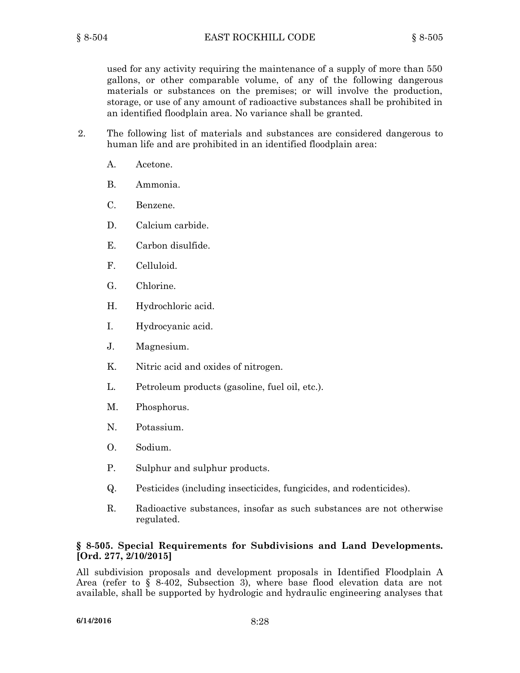used for any activity requiring the maintenance of <sup>a</sup> supply of more than 550 gallons, or other comparable volume, of any of the following dangerous materials or substances on the premises; or will involve the production, storage, or use of any amount of radioactive substances shall be prohibited in an identified floodplain area. No variance shall be granted.

- 2. The following list of materials and substances are considered dangerous to human life and are prohibited in an identified floodplain area:
	- A. Acetone.
	- B. Ammonia.
	- C. Benzene.
	- D. Calcium carbide.
	- E. Carbon disulfide.
	- F. Celluloid.
	- G. Chlorine.
	- H. Hydrochloric acid.
	- I. Hydrocyanic acid.
	- J. Magnesium.
	- K. Nitric acid and oxides of nitrogen.
	- L. Petroleum products (gasoline, fuel oil, etc.).
	- M. Phosphorus.
	- N. Potassium.
	- O. Sodium.
	- P. Sulphur and sulphur products.
	- Q. Pesticides (including insecticides, fungicides, and rodenticides).
	- R. Radioactive substances, insofar as such substances are not otherwise regulated.

### **§ 8-505. Special Requirements for Subdivisions and Land Developments. [Ord. 277, 2/10/2015]**

All subdivision proposals and development proposals in Identified Floodplain A Area (refer to § 8-402, Subsection 3), where base flood elevation data are not available, shall be supported by hydrologic and hydraulic engineering analyses that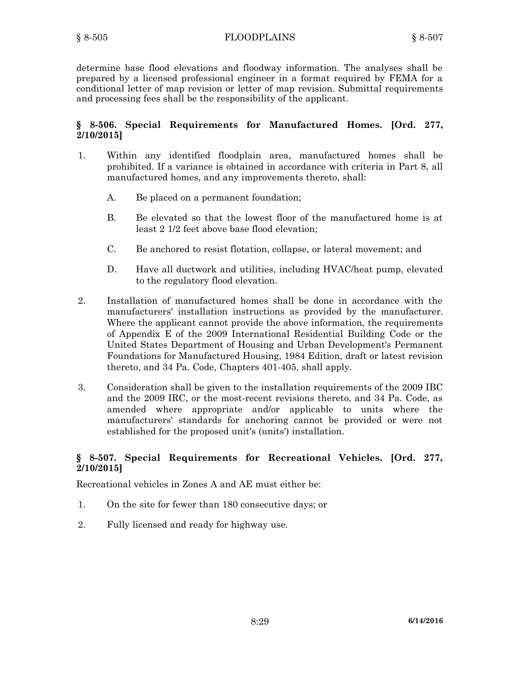determine base flood elevations and floodway information. The analyses shall be prepared by <sup>a</sup> licensed professional engineer in <sup>a</sup> format required by FEMA for <sup>a</sup> conditional letter of map revision or letter of map revision. Submittal requirements and processing fees shall be the responsibility of the applicant.

# **§ 8-506. Special Requirements for Manufactured Homes. [Ord. 277, 2/10/2015]**

- 1. Within any identified floodplain area, manufactured homes shall be prohibited. If <sup>a</sup> variance is obtained in accordance with criteria in Part 8, all manufactured homes, and any improvements thereto, shall:
	- A. Be placed on <sup>a</sup> permanent foundation;
	- B. Be elevated so that the lowest floor of the manufactured home is at least 2 1/2 feet above base flood elevation;
	- C. Be anchored to resist flotation, collapse, or lateral movement; and
	- D. Have all ductwork and utilities, including HVAC/heat pump, elevated to the regulatory flood elevation.
- 2. Installation of manufactured homes shall be done in accordance with the manufacturers' installation instructions as provided by the manufacturer. Where the applicant cannot provide the above information, the requirements of Appendix E of the 2009 International Residential Building Code or the United States Department of Housing and Urban Development's Permanent Foundations for Manufactured Housing, 1984 Edition, draft or latest revision thereto, and 34 Pa. Code, Chapters 401-405, shall apply.
- 3. Consideration shall be given to the installation requirements of the 2009 IBC and the 2009 IRC, or the most-recent revisions thereto, and 34 Pa. Code, as amended where appropriate and/or applicable to units where the manufacturers' standards for anchoring cannot be provided or were not established for the proposed unit's (units') installation.

## **§ 8-507. Special Requirements for Recreational Vehicles. [Ord. 277, 2/10/2015]**

Recreational vehicles in Zones A and AE must either be:

- 1. On the site for fewer than 180 consecutive days; or
- 2. Fully licensed and ready for highway use.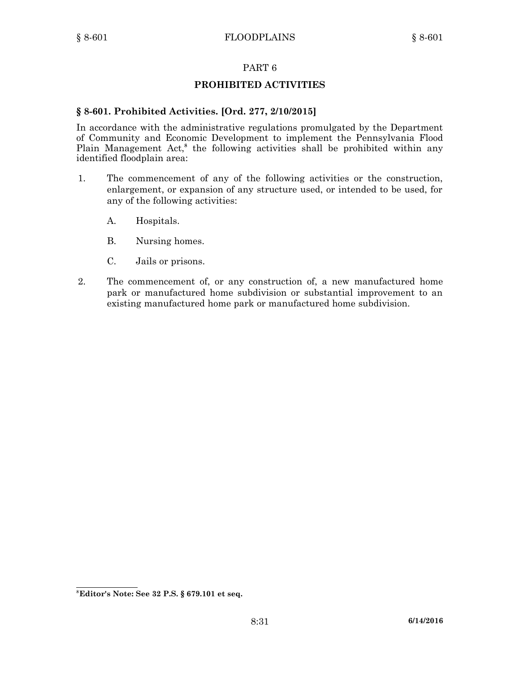## **PROHIBITED ACTIVITIES**

## **§ 8-601. Prohibited Activities. [Ord. 277, 2/10/2015]**

In accordance with the administrative regulations promulgated by the Department of Community and Economic Development to implement the Pennsylvania Flood Plain Management Act,<sup>8</sup> the following activities shall be prohibited within any identified floodplain area:

- 1. The commencement of any of the following activities or the construction, enlargement, or expansion of any structure used, or intended to be used, for any of the following activities:
	- A. Hospitals.
	- B. Nursing homes.
	- C. Jails or prisons.
- 2. The commencement of, or any construction of, <sup>a</sup> new manufactured home park or manufactured home subdivision or substantial improvement to an existing manufactured home park or manufactured home subdivision.

**<sup>8</sup> Editor's Note: See 32 P.S. § 679.101 et seq.**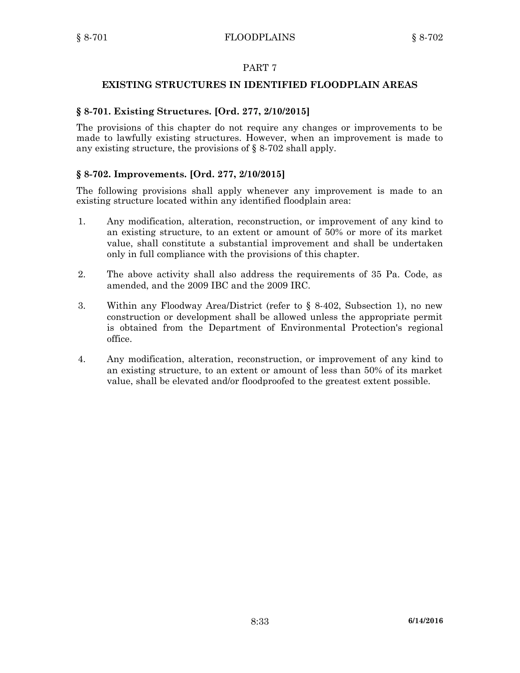## **EXISTING STRUCTURES IN IDENTIFIED FLOODPLAIN AREAS**

## **§ 8-701. Existing Structures. [Ord. 277, 2/10/2015]**

The provisions of this chapter do not require any changes or improvements to be made to lawfully existing structures. However, when an improvement is made to any existing structure, the provisions of § 8-702 shall apply.

## **§ 8-702. Improvements. [Ord. 277, 2/10/2015]**

The following provisions shall apply whenever any improvement is made to an existing structure located within any identified floodplain area:

- 1. Any modification, alteration, reconstruction, or improvement of any kind to an existing structure, to an extent or amount of 50% or more of its market value, shall constitute <sup>a</sup> substantial improvement and shall be undertaken only in full compliance with the provisions of this chapter.
- 2. The above activity shall also address the requirements of 35 Pa. Code, as amended, and the 2009 IBC and the 2009 IRC.
- 3. Within any Floodway Area/District (refer to § 8-402, Subsection 1), no new construction or development shall be allowed unless the appropriate permit is obtained from the Department of Environmental Protection's regional office.
- 4. Any modification, alteration, reconstruction, or improvement of any kind to an existing structure, to an extent or amount of less than 50% of its market value, shall be elevated and/or floodproofed to the greatest extent possible.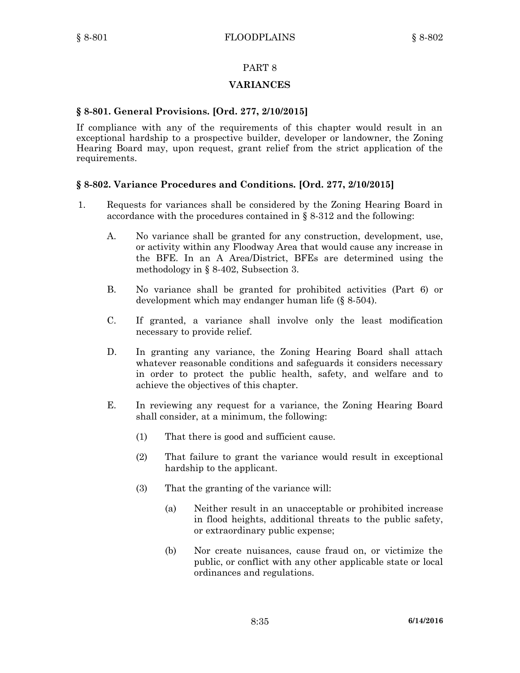### **VARIANCES**

#### **§ 8-801. General Provisions. [Ord. 277, 2/10/2015]**

If compliance with any of the requirements of this chapter would result in an exceptional hardship to <sup>a</sup> prospective builder, developer or landowner, the Zoning Hearing Board may, upon request, grant relief from the strict application of the requirements.

### **§ 8-802. Variance Procedures and Conditions. [Ord. 277, 2/10/2015]**

- 1. Requests for variances shall be considered by the Zoning Hearing Board in accordance with the procedures contained in  $\S$  8-312 and the following:
	- A. No variance shall be granted for any construction, development, use, or activity within any Floodway Area that would cause any increase in the BFE. In an A Area/District, BFEs are determined using the methodology in § 8-402, Subsection 3.
	- B. No variance shall be granted for prohibited activities (Part 6) or development which may endanger human life (§ 8-504).
	- C. If granted, <sup>a</sup> variance shall involve only the least modification necessary to provide relief.
	- D. In granting any variance, the Zoning Hearing Board shall attach whatever reasonable conditions and safeguards it considers necessary in order to protect the public health, safety, and welfare and to achieve the objectives of this chapter.
	- E. In reviewing any request for <sup>a</sup> variance, the Zoning Hearing Board shall consider, at <sup>a</sup> minimum, the following:
		- (1) That there is good and sufficient cause.
		- (2) That failure to grant the variance would result in exceptional hardship to the applicant.
		- (3) That the granting of the variance will:
			- (a) Neither result in an unacceptable or prohibited increase in flood heights, additional threats to the public safety, or extraordinary public expense;
			- (b) Nor create nuisances, cause fraud on, or victimize the public, or conflict with any other applicable state or local ordinances and regulations.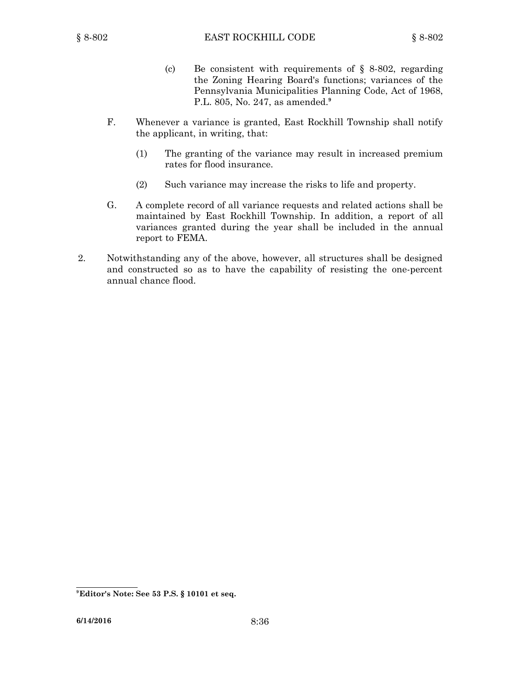- (c) Be consistent with requirements of  $\S$  8-802, regarding the Zoning Hearing Board's functions; variances of the Pennsylvania Municipalities Planning Code, Act of 1968, P.L. 805, No. 247, as amended. **9**
- F. Whenever <sup>a</sup> variance is granted, East Rockhill Township shall notify the applicant, in writing, that:
	- (1) The granting of the variance may result in increased premium rates for flood insurance.
	- (2) Such variance may increase the risks to life and property.
- G. A complete record of all variance requests and related actions shall be maintained by East Rockhill Township. In addition, <sup>a</sup> report of all variances granted during the year shall be included in the annual report to FEMA.
- 2. Notwithstanding any of the above, however, all structures shall be designed and constructed so as to have the capability of resisting the one-percent annual chance flood.

**<sup>9</sup> Editor's Note: See 53 P.S. § 10101 et seq.**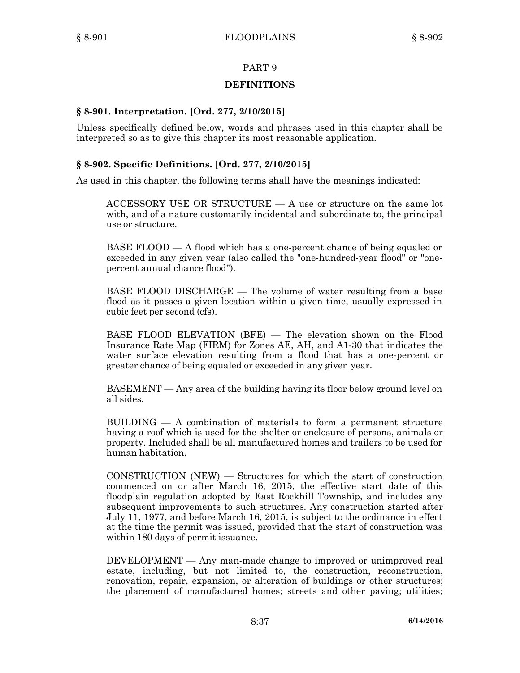# **DEFINITIONS**

## **§ 8-901. Interpretation. [Ord. 277, 2/10/2015]**

Unless specifically defined below, words and phrases used in this chapter shall be interpreted so as to give this chapter its most reasonable application.

## **§ 8-902. Specific Definitions. [Ord. 277, 2/10/2015]**

As used in this chapter, the following terms shall have the meanings indicated:

ACCESSORY USE OR STRUCTURE — A use or structure on the same lot with, and of <sup>a</sup> nature customarily incidental and subordinate to, the principal use or structure.

BASE FLOOD — A flood which has <sup>a</sup> one-percent chance of being equaled or exceeded in any given year (also called the "one-hundred-year flood" or "onepercent annual chance flood").

BASE FLOOD DISCHARGE — The volume of water resulting from <sup>a</sup> base flood as it passes <sup>a</sup> given location within <sup>a</sup> given time, usually expressed in cubic feet per second (cfs).

BASE FLOOD ELEVATION (BFE) — The elevation shown on the Flood Insurance Rate Map (FIRM) for Zones AE, AH, and A1-30 that indicates the water surface elevation resulting from <sup>a</sup> flood that has <sup>a</sup> one-percent or greater chance of being equaled or exceeded in any given year.

BASEMENT — Any area of the building having its floor below ground level on all sides.

BUILDING — A combination of materials to form <sup>a</sup> permanent structure having <sup>a</sup> roof which is used for the shelter or enclosure of persons, animals or property. Included shall be all manufactured homes and trailers to be used for human habitation.

CONSTRUCTION (NEW) — Structures for which the start of construction commenced on or after March 16, 2015, the effective start date of this floodplain regulation adopted by East Rockhill Township, and includes any subsequent improvements to such structures. Any construction started after July 11, 1977, and before March 16, 2015, is subject to the ordinance in effect at the time the permit was issued, provided that the start of construction was within 180 days of permit issuance.

DEVELOPMENT — Any man-made change to improved or unimproved real estate, including, but not limited to, the construction, reconstruction, renovation, repair, expansion, or alteration of buildings or other structures; the placement of manufactured homes; streets and other paving; utilities;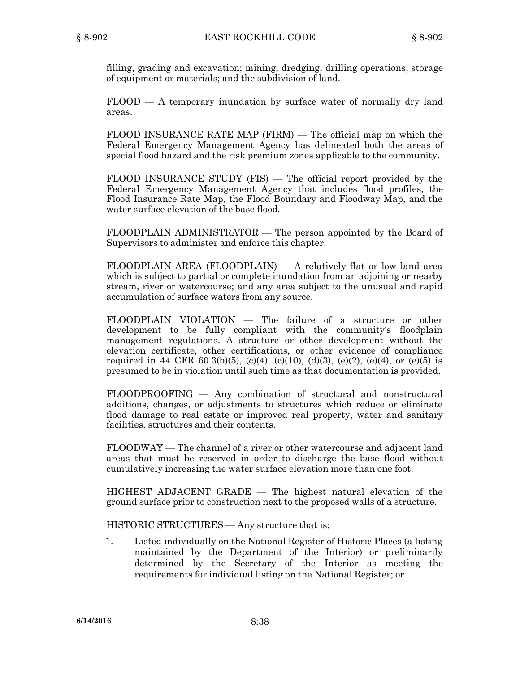filling, grading and excavation; mining; dredging; drilling operations; storage of equipment or materials; and the subdivision of land.

FLOOD — A temporary inundation by surface water of normally dry land areas.

FLOOD INSURANCE RATE MAP (FIRM) — The official map on which the Federal Emergency Management Agency has delineated both the areas of special flood hazard and the risk premium zones applicable to the community.

FLOOD INSURANCE STUDY (FIS) — The official report provided by the Federal Emergency Management Agency that includes flood profiles, the Flood Insurance Rate Map, the Flood Boundary and Floodway Map, and the water surface elevation of the base flood.

FLOODPLAIN ADMINISTRATOR — The person appointed by the Board of Supervisors to administer and enforce this chapter.

FLOODPLAIN AREA (FLOODPLAIN) — A relatively flat or low land area which is subject to partial or complete inundation from an adjoining or nearby stream, river or watercourse; and any area subject to the unusual and rapid accumulation of surface waters from any source.

FLOODPLAIN VIOLATION — The failure of <sup>a</sup> structure or other development to be fully compliant with the community's floodplain management regulations. A structure or other development without the elevation certificate, other certifications, or other evidence of compliance required in 44 CFR 60.3(b)(5), (c)(4), (c)(10), (d)(3), (e)(2), (e)(4), or (e)(5) is presumed to be in violation until such time as that documentation is provided.

FLOODPROOFING — Any combination of structural and nonstructural additions, changes, or adjustments to structures which reduce or eliminate flood damage to real estate or improved real property, water and sanitary facilities, structures and their contents.

FLOODWAY — The channel of <sup>a</sup> river or other watercourse and adjacent land areas that must be reserved in order to discharge the base flood without cumulatively increasing the water surface elevation more than one foot.

HIGHEST ADJACENT GRADE — The highest natural elevation of the ground surface prior to construction next to the proposed walls of <sup>a</sup> structure.

HISTORIC STRUCTURES — Any structure that is:

1. Listed individually on the National Register of Historic Places (a listing maintained by the Department of the Interior) or preliminarily determined by the Secretary of the Interior as meeting the requirements for individual listing on the National Register; or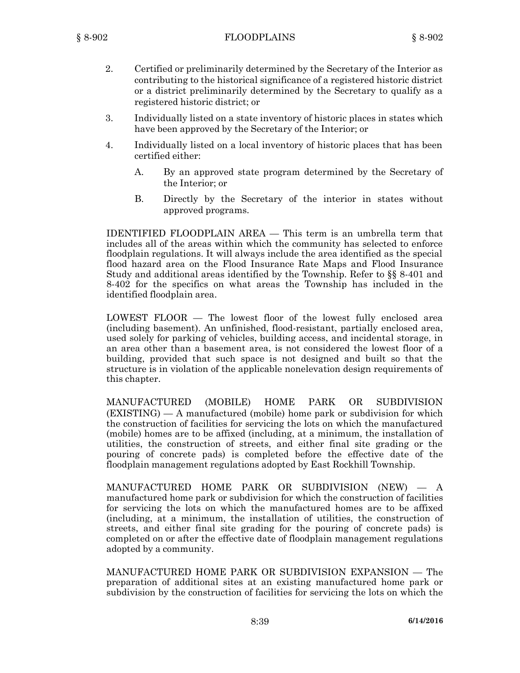- 2. Certified or preliminarily determined by the Secretary of the Interior as contributing to the historical significance of <sup>a</sup> registered historic district or <sup>a</sup> district preliminarily determined by the Secretary to qualify as <sup>a</sup> registered historic district; or
- 3. Individually listed on <sup>a</sup> state inventory of historic places in states which have been approved by the Secretary of the Interior; or
- 4. Individually listed on <sup>a</sup> local inventory of historic places that has been certified either:
	- A. By an approved state program determined by the Secretary of the Interior; or
	- B. Directly by the Secretary of the interior in states without approved programs.

IDENTIFIED FLOODPLAIN AREA — This term is an umbrella term that includes all of the areas within which the community has selected to enforce floodplain regulations. It will always include the area identified as the special flood hazard area on the Flood Insurance Rate Maps and Flood Insurance Study and additional areas identified by the Township. Refer to §§ 8-401 and 8-402 for the specifics on what areas the Township has included in the identified floodplain area.

LOWEST FLOOR — The lowest floor of the lowest fully enclosed area (including basement). An unfinished, flood-resistant, partially enclosed area, used solely for parking of vehicles, building access, and incidental storage, in an area other than <sup>a</sup> basement area, is not considered the lowest floor of <sup>a</sup> building, provided that such space is not designed and built so that the structure is in violation of the applicable nonelevation design requirements of this chapter.

MANUFACTURED (MOBILE) HOME PARK OR SUBDIVISION (EXISTING) —A manufactured (mobile) home park or subdivision for which the construction of facilities for servicing the lots on which the manufactured (mobile) homes are to be affixed (including, at <sup>a</sup> minimum, the installation of utilities, the construction of streets, and either final site grading or the pouring of concrete pads) is completed before the effective date of the floodplain management regulations adopted by East Rockhill Township.

MANUFACTURED HOME PARK OR SUBDIVISION (NEW) — A manufactured home park or subdivision for which the construction of facilities for servicing the lots on which the manufactured homes are to be affixed (including, at <sup>a</sup> minimum, the installation of utilities, the construction of streets, and either final site grading for the pouring of concrete pads) is completed on or after the effective date of floodplain management regulations adopted by <sup>a</sup> community.

MANUFACTURED HOME PARK OR SUBDIVISION EXPANSION — The preparation of additional sites at an existing manufactured home park or subdivision by the construction of facilities for servicing the lots on which the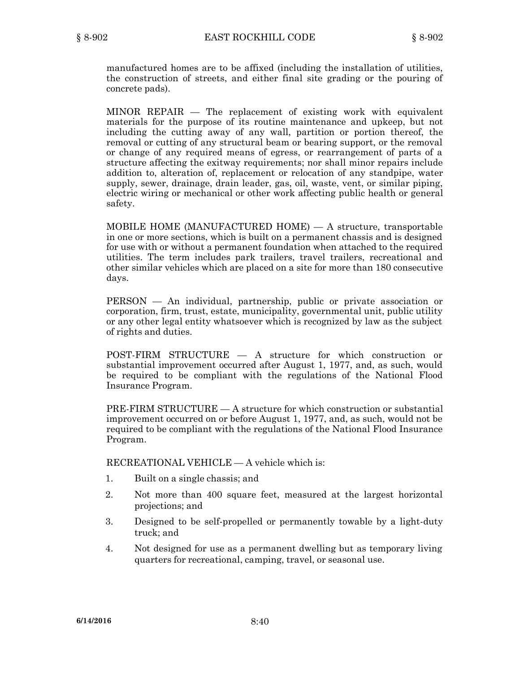manufactured homes are to be affixed (including the installation of utilities, the construction of streets, and either final site grading or the pouring of concrete pads).

MINOR REPAIR — The replacement of existing work with equivalent materials for the purpose of its routine maintenance and upkeep, but not including the cutting away of any wall, partition or portion thereof, the removal or cutting of any structural beam or bearing support, or the removal or change of any required means of egress, or rearrangement of parts of <sup>a</sup> structure affecting the exitway requirements; nor shall minor repairs include addition to, alteration of, replacement or relocation of any standpipe, water supply, sewer, drainage, drain leader, gas, oil, waste, vent, or similar piping, electric wiring or mechanical or other work affecting public health or general safety.

MOBILE HOME (MANUFACTURED HOME) —A structure, transportable in one or more sections, which is built on <sup>a</sup> permanent chassis and is designed for use with or without <sup>a</sup> permanent foundation when attached to the required utilities. The term includes park trailers, travel trailers, recreational and other similar vehicles which are placed on <sup>a</sup> site for more than 180 consecutive days.

PERSON — An individual, partnership, public or private association or corporation, firm, trust, estate, municipality, governmental unit, public utility or any other legal entity whatsoever which is recognized by law as the subject of rights and duties.

POST-FIRM STRUCTURE — A structure for which construction or substantial improvement occurred after August 1, 1977, and, as such, would be required to be compliant with the regulations of the National Flood Insurance Program.

PRE-FIRM STRUCTURE  $- A$  structure for which construction or substantial improvement occurred on or before August 1, 1977, and, as such, would not be required to be compliant with the regulations of the National Flood Insurance Program.

RECREATIONAL VEHICLE — A vehicle which is:

- 1. Built on <sup>a</sup> single chassis; and
- 2. Not more than 400 square feet, measured at the largest horizontal projections; and
- 3. Designed to be self-propelled or permanently towable by <sup>a</sup> light-duty truck; and
- 4. Not designed for use as <sup>a</sup> permanent dwelling but as temporary living quarters for recreational, camping, travel, or seasonal use.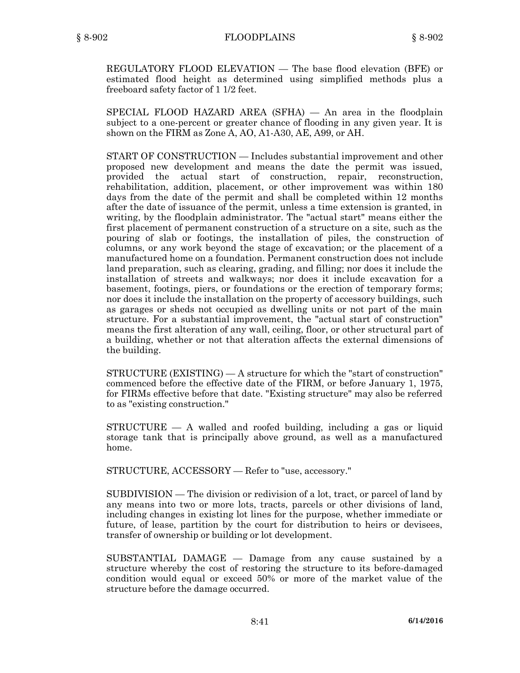REGULATORY FLOOD ELEVATION — The base flood elevation (BFE) or estimated flood height as determined using simplified methods plus <sup>a</sup> freeboard safety factor of 1 1/2 feet.

SPECIAL FLOOD HAZARD AREA (SFHA) — An area in the floodplain subject to <sup>a</sup> one-percent or greater chance of flooding in any given year. It is shown on the FIRM as Zone A, AO, A1-A30, AE, A99, or AH.

START OF CONSTRUCTION — Includes substantial improvement and other proposed new development and means the date the permit was issued, provided the actual start of construction, repair, reconstruction, rehabilitation, addition, placement, or other improvement was within 180 days from the date of the permit and shall be completed within 12 months after the date of issuance of the permit, unless <sup>a</sup> time extension is granted, in writing, by the floodplain administrator. The "actual start" means either the first placement of permanent construction of <sup>a</sup> structure on <sup>a</sup> site, such as the pouring of slab or footings, the installation of piles, the construction of columns, or any work beyond the stage of excavation; or the placement of <sup>a</sup> manufactured home on <sup>a</sup> foundation. Permanent construction does not include land preparation, such as clearing, grading, and filling; nor does it include the installation of streets and walkways; nor does it include excavation for <sup>a</sup> basement, footings, piers, or foundations or the erection of temporary forms; nor does it include the installation on the property of accessory buildings, such as garages or sheds not occupied as dwelling units or not part of the main structure. For <sup>a</sup> substantial improvement, the "actual start of construction" means the first alteration of any wall, ceiling, floor, or other structural part of <sup>a</sup> building, whether or not that alteration affects the external dimensions of the building.

STRUCTURE (EXISTING) — A structure for which the "start of construction" commenced before the effective date of the FIRM, or before January 1, 1975, for FIRMs effective before that date. "Existing structure" may also be referred to as "existing construction."

STRUCTURE — A walled and roofed building, including <sup>a</sup> gas or liquid storage tank that is principally above ground, as well as <sup>a</sup> manufactured home.

STRUCTURE, ACCESSORY — Refer to "use, accessory."

SUBDIVISION — The division or redivision of <sup>a</sup> lot, tract, or parcel of land by any means into two or more lots, tracts, parcels or other divisions of land, including changes in existing lot lines for the purpose, whether immediate or future, of lease, partition by the court for distribution to heirs or devisees, transfer of ownership or building or lot development.

SUBSTANTIAL DAMAGE — Damage from any cause sustained by <sup>a</sup> structure whereby the cost of restoring the structure to its before-damaged condition would equal or exceed 50% or more of the market value of the structure before the damage occurred.